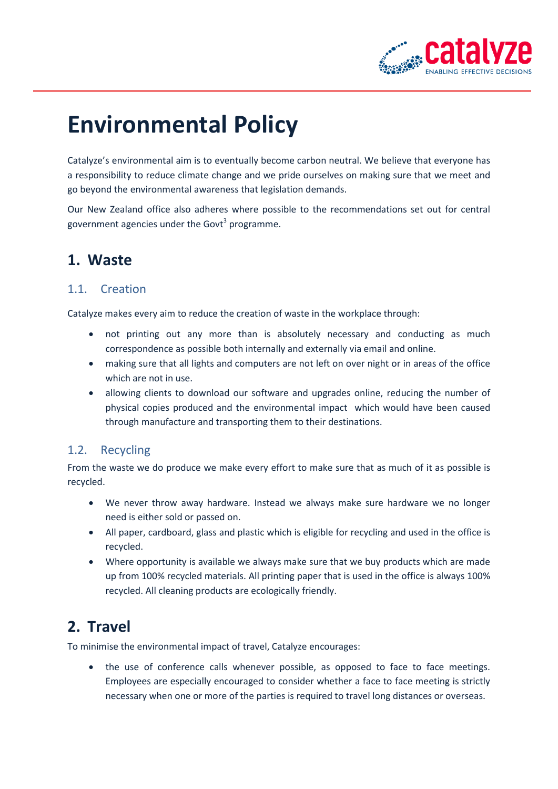

# **Environmental Policy**

Catalyze's environmental aim is to eventually become carbon neutral. We believe that everyone has a responsibility to reduce climate change and we pride ourselves on making sure that we meet and go beyond the environmental awareness that legislation demands.

Our New Zealand office also adheres where possible to the recommendations set out for central government agencies under the Govt<sup>3</sup> programme.

# **1. Waste**

#### 1.1. Creation

Catalyze makes every aim to reduce the creation of waste in the workplace through:

- not printing out any more than is absolutely necessary and conducting as much correspondence as possible both internally and externally via email and online.
- making sure that all lights and computers are not left on over night or in areas of the office which are not in use.
- allowing clients to download our software and upgrades online, reducing the number of physical copies produced and the environmental impact which would have been caused through manufacture and transporting them to their destinations.

#### 1.2. Recycling

From the waste we do produce we make every effort to make sure that as much of it as possible is recycled.

- We never throw away hardware. Instead we always make sure hardware we no longer need is either sold or passed on.
- All paper, cardboard, glass and plastic which is eligible for recycling and used in the office is recycled.
- Where opportunity is available we always make sure that we buy products which are made up from 100% recycled materials. All printing paper that is used in the office is always 100% recycled. All cleaning products are ecologically friendly.

# **2. Travel**

To minimise the environmental impact of travel, Catalyze encourages:

 the use of conference calls whenever possible, as opposed to face to face meetings. Employees are especially encouraged to consider whether a face to face meeting is strictly necessary when one or more of the parties is required to travel long distances or overseas.